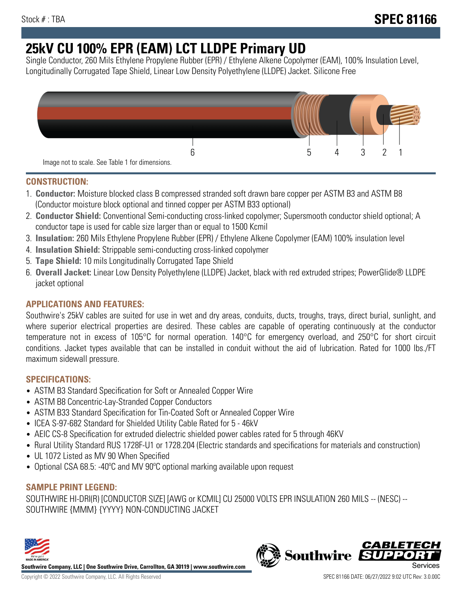# **25kV CU 100% EPR (EAM) LCT LLDPE Primary UD**

Single Conductor, 260 Mils Ethylene Propylene Rubber (EPR) / Ethylene Alkene Copolymer (EAM), 100% Insulation Level, Longitudinally Corrugated Tape Shield, Linear Low Density Polyethylene (LLDPE) Jacket. Silicone Free



## **CONSTRUCTION:**

- 1. **Conductor:** Moisture blocked class B compressed stranded soft drawn bare copper per ASTM B3 and ASTM B8 (Conductor moisture block optional and tinned copper per ASTM B33 optional)
- 2. **Conductor Shield:** Conventional Semi-conducting cross-linked copolymer; Supersmooth conductor shield optional; A conductor tape is used for cable size larger than or equal to 1500 Kcmil
- 3. **Insulation:** 260 Mils Ethylene Propylene Rubber (EPR) / Ethylene Alkene Copolymer (EAM) 100% insulation level
- 4. **Insulation Shield:** Strippable semi-conducting cross-linked copolymer
- 5. **Tape Shield:** 10 mils Longitudinally Corrugated Tape Shield
- 6. **Overall Jacket:** Linear Low Density Polyethylene (LLDPE) Jacket, black with red extruded stripes; PowerGlide® LLDPE jacket optional

## **APPLICATIONS AND FEATURES:**

Southwire's 25kV cables are suited for use in wet and dry areas, conduits, ducts, troughs, trays, direct burial, sunlight, and where superior electrical properties are desired. These cables are capable of operating continuously at the conductor temperature not in excess of 105°C for normal operation. 140°C for emergency overload, and 250°C for short circuit conditions. Jacket types available that can be installed in conduit without the aid of lubrication. Rated for 1000 lbs./FT maximum sidewall pressure.

## **SPECIFICATIONS:**

- ASTM B3 Standard Specification for Soft or Annealed Copper Wire
- ASTM B8 Concentric-Lay-Stranded Copper Conductors
- ASTM B33 Standard Specification for Tin-Coated Soft or Annealed Copper Wire
- ICEA S-97-682 Standard for Shielded Utility Cable Rated for 5 46kV
- AEIC CS-8 Specification for extruded dielectric shielded power cables rated for 5 through 46KV
- Rural Utility Standard RUS 1728F-U1 or 1728.204 (Electric standards and specifications for materials and construction)
- UL 1072 Listed as MV 90 When Specified
- Optional CSA 68.5: -40ºC and MV 90ºC optional marking available upon request

# **SAMPLE PRINT LEGEND:**

SOUTHWIRE HI-DRI(R) [CONDUCTOR SIZE] [AWG or KCMIL] CU 25000 VOLTS EPR INSULATION 260 MILS -- (NESC) -- SOUTHWIRE {MMM} {YYYY} NON-CONDUCTING JACKET



**Southwire Company, LLC | One Southwire Drive, Carrollton, GA 30119 | www.southwire.com**